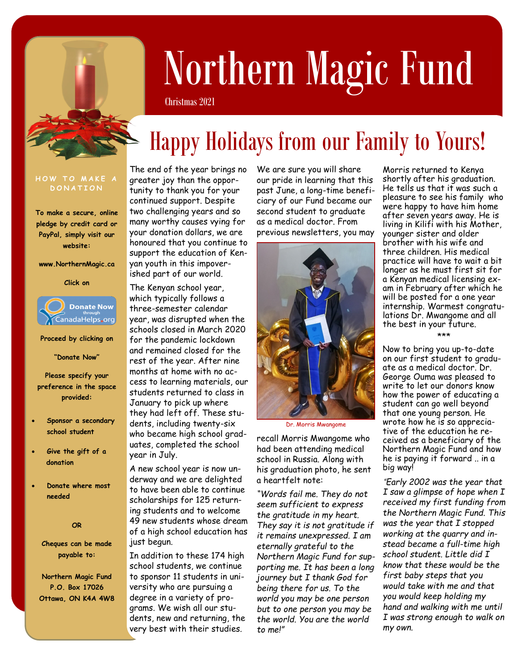

# Northern Magic Fund

Christmas 2021

# Happy Holidays from our Family to Yours!

#### **HOW TO MAKE A D O N A T I O N**

**To make a secure, online pledge by credit card or PayPal, simply visit our website:**

**www.NorthernMagic.ca**

#### **Click on**



**Proceed by clicking on**

**"Donate Now"** 

**Please specify your preference in the space provided:**

- **Sponsor a secondary school student**
- **Give the gift of a donation**
- **Donate where most needed**

#### **OR**

**Cheques can be made payable to:**

**Northern Magic Fund P.O. Box 17026 Ottawa, ON K4A 4W8** The end of the year brings no greater joy than the opportunity to thank you for your continued support. Despite two challenging years and so many worthy causes vying for your donation dollars, we are honoured that you continue to support the education of Kenyan youth in this impoverished part of our world.

The Kenyan school year, which typically follows a three-semester calendar year, was disrupted when the schools closed in March 2020 for the pandemic lockdown and remained closed for the rest of the year. After nine months at home with no access to learning materials, our students returned to class in January to pick up where they had left off. These students, including twenty-six who became high school graduates, completed the school year in July.

A new school year is now underway and we are delighted to have been able to continue scholarships for 125 returning students and to welcome 49 new students whose dream of a high school education has just begun.

In addition to these 174 high school students, we continue to sponsor 11 students in university who are pursuing a degree in a variety of programs. We wish all our students, new and returning, the very best with their studies.

We are sure you will share our pride in learning that this past June, a long-time beneficiary of our Fund became our second student to graduate as a medical doctor. From previous newsletters, you may



Dr. Morris Mwangome

recall Morris Mwangome who had been attending medical school in Russia. Along with his graduation photo, he sent a heartfelt note:

*"Words fail me. They do not seem sufficient to express the gratitude in my heart. They say it is not gratitude if it remains unexpressed. I am eternally grateful to the Northern Magic Fund for supporting me. It has been a long journey but I thank God for being there for us. To the world you may be one person but to one person you may be the world. You are the world to me!"* 

Morris returned to Kenya shortly after his graduation. He tells us that it was such a pleasure to see his family who were happy to have him home after seven years away. He is living in Kilifi with his Mother, younger sister and older brother with his wife and three children. His medical practice will have to wait a bit longer as he must first sit for a Kenyan medical licensing exam in February after which he will be posted for a one year internship. Warmest congratulations Dr. Mwangome and all the best in your future.

Now to bring you up-to-date on our first student to graduate as a medical doctor. Dr. George Ouma was pleased to write to let our donors know how the power of educating a student can go well beyond that one young person. He wrote how he is so appreciative of the education he received as a beneficiary of the Northern Magic Fund and how he is paying it forward .. in a big way!

\*\*\*

*"Early 2002 was the year that I saw a glimpse of hope when I received my first funding from the Northern Magic Fund. This was the year that I stopped working at the quarry and instead became a full-time high school student. Little did I know that these would be the first baby steps that you would take with me and that you would keep holding my hand and walking with me until I was strong enough to walk on my own.*